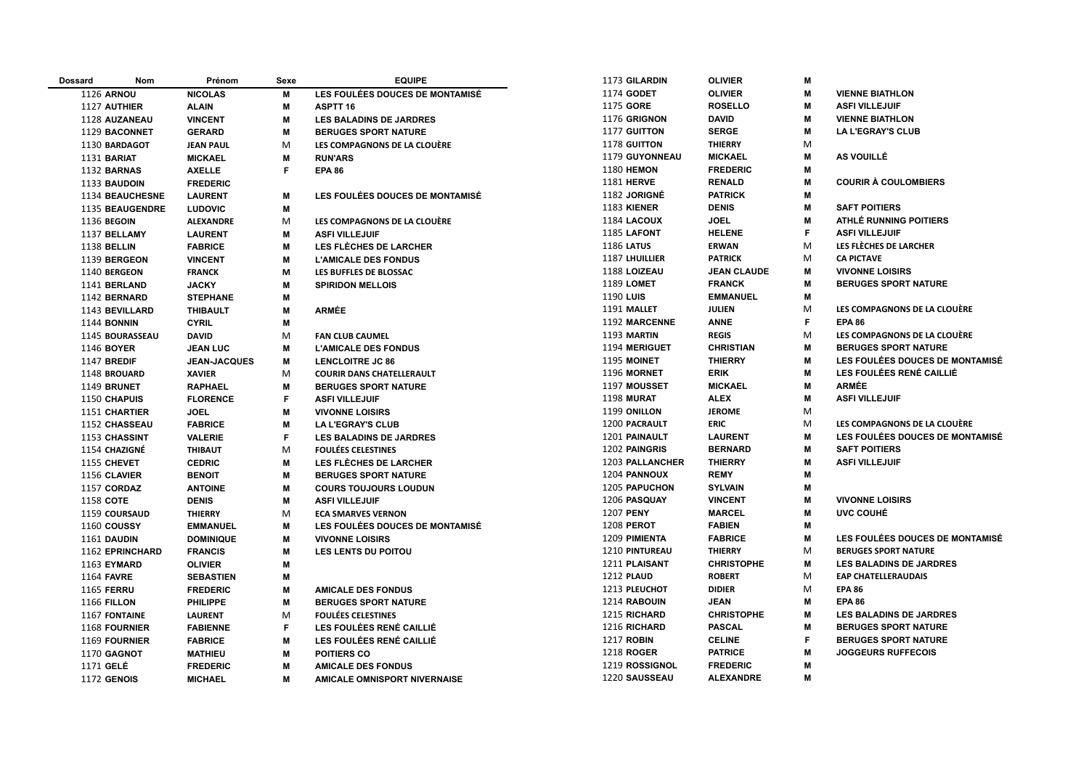| <b>Dossard</b> | Nom                    | Prénom              | Sexe | <b>EQUIPE</b>                       | 1173 GILARDIN         | <b>OLIVIER</b>     | M  |                                        |
|----------------|------------------------|---------------------|------|-------------------------------------|-----------------------|--------------------|----|----------------------------------------|
|                | <b>1126 ARNOU</b>      | <b>NICOLAS</b>      | M    | LES FOULÉES DOUCES DE MONTAMISÉ     | 1174 GODET            | <b>OLIVIER</b>     | M  | <b>VIENNE BIATHLON</b>                 |
|                | 1127 AUTHIER           | <b>ALAIN</b>        | M    | <b>ASPTT 16</b>                     | 1175 GORE             | <b>ROSELLO</b>     | м  | <b>ASFI VILLEJUIF</b>                  |
|                | 1128 AUZANEAU          | <b>VINCENT</b>      | M    | <b>LES BALADINS DE JARDRES</b>      | 1176 GRIGNON          | <b>DAVID</b>       | M  | <b>VIENNE BIATHLON</b>                 |
|                | 1129 BACONNET          | <b>GERARD</b>       | M    | <b>BERUGES SPORT NATURE</b>         | 1177 GUITTON          | <b>SERGE</b>       | M  | <b>LA L'EGRAY'S CLUB</b>               |
|                | 1130 BARDAGOT          | <b>JEAN PAUL</b>    | M    | LES COMPAGNONS DE LA CLOUÈRE        | 1178 GUITTON          | <b>THIERRY</b>     | M  |                                        |
|                | 1131 BARIAT            | <b>MICKAEL</b>      | M    | <b>RUN'ARS</b>                      | 1179 GUYONNEAU        | <b>MICKAEL</b>     | M  | <b>AS VOUILLÉ</b>                      |
|                | 1132 BARNAS            | <b>AXELLE</b>       | F.   | <b>EPA 86</b>                       | <b>1180 HEMON</b>     | <b>FREDERIC</b>    | M  |                                        |
|                | 1133 BAUDOIN           | <b>FREDERIC</b>     |      |                                     | <b>1181 HERVE</b>     | <b>RENALD</b>      | M  | <b>COURIR À COULOMBIERS</b>            |
|                | 1134 BEAUCHESNE        | <b>LAURENT</b>      | M    | LES FOULÉES DOUCES DE MONTAMISÉ     | 1182 JORIGNÉ          | <b>PATRICK</b>     | M  |                                        |
|                | 1135 BEAUGENDRE        | <b>LUDOVIC</b>      | M    |                                     | <b>1183 KIENER</b>    | <b>DENIS</b>       | M  | <b>SAFT POITIERS</b>                   |
|                | <b>1136 BEGOIN</b>     | <b>ALEXANDRE</b>    | M    | LES COMPAGNONS DE LA CLOUÈRE        | 1184 LACOUX           | <b>JOEL</b>        | M  | <b>ATHLÉ RUNNING POITIERS</b>          |
|                | 1137 BELLAMY           | <b>LAURENT</b>      | M    | <b>ASFI VILLEJUIF</b>               | 1185 LAFONT           | <b>HELENE</b>      | F  | <b>ASFI VILLEJUIF</b>                  |
|                | 1138 BELLIN            | <b>FABRICE</b>      | M    | <b>LES FLÈCHES DE LARCHER</b>       | <b>1186 LATUS</b>     | <b>ERWAN</b>       | M  | LES FLÈCHES DE LARCHER                 |
|                | 1139 BERGEON           | <b>VINCENT</b>      | M    | <b>L'AMICALE DES FONDUS</b>         | <b>1187 LHUILLIER</b> | <b>PATRICK</b>     | M  | <b>CA PICTAVE</b>                      |
|                | 1140 BERGEON           | <b>FRANCK</b>       | M    | LES BUFFLES DE BLOSSAC              | 1188 LOIZEAU          | <b>JEAN CLAUDE</b> | м  | <b>VIVONNE LOISIRS</b>                 |
|                | 1141 BERLAND           | <b>JACKY</b>        | M    | <b>SPIRIDON MELLOIS</b>             | <b>1189 LOMET</b>     | <b>FRANCK</b>      | M  | <b>BERUGES SPORT NATURE</b>            |
|                | 1142 BERNARD           | <b>STEPHANE</b>     | M    |                                     | 1190 LUIS             | <b>EMMANUEL</b>    | М  |                                        |
|                | 1143 BEVILLARD         | <b>THIBAULT</b>     | М    | <b>ARMÉE</b>                        | 1191 MALLET           | <b>JULIEN</b>      | M  | LES COMPAGNONS DE LA CLOUÈRE           |
|                | <b>1144 BONNIN</b>     | <b>CYRIL</b>        | M    |                                     | 1192 MARCENNE         | <b>ANNE</b>        | F. | <b>EPA 86</b>                          |
|                | 1145 BOURASSEAU        | <b>DAVID</b>        | M    | <b>FAN CLUB CAUMEL</b>              | 1193 MARTIN           | <b>REGIS</b>       | M  | LES COMPAGNONS DE LA CLOUÈRE           |
|                | 1146 BOYER             | <b>JEAN LUC</b>     | M    | <b>L'AMICALE DES FONDUS</b>         | 1194 MERIGUET         | <b>CHRISTIAN</b>   | M  | <b>BERUGES SPORT NATURE</b>            |
|                | 1147 BREDIF            | <b>JEAN-JACQUES</b> | М    | <b>LENCLOITRE JC 86</b>             | 1195 MOINET           | <b>THIERRY</b>     | м  | <b>LES FOULÉES DOUCES DE MONTAMISÉ</b> |
|                | 1148 BROUARD           | <b>XAVIER</b>       | M    | <b>COURIR DANS CHATELLERAULT</b>    | 1196 MORNET           | <b>ERIK</b>        | M  | LES FOULÉES RENÉ CAILLIÉ               |
|                | 1149 BRUNET            | <b>RAPHAEL</b>      | М    | <b>BERUGES SPORT NATURE</b>         | 1197 MOUSSET          | <b>MICKAEL</b>     | M  | <b>ARMÉE</b>                           |
|                | 1150 CHAPUIS           | <b>FLORENCE</b>     | F    | <b>ASFI VILLEJUIF</b>               | <b>1198 MURAT</b>     | <b>ALEX</b>        | м  | <b>ASFI VILLEJUIF</b>                  |
|                | 1151 CHARTIER          | <b>JOEL</b>         | M    | <b>VIVONNE LOISIRS</b>              | 1199 ONILLON          | <b>JEROME</b>      | M  |                                        |
|                | 1152 CHASSEAU          | <b>FABRICE</b>      | M    | <b>LA L'EGRAY'S CLUB</b>            | 1200 PACRAULT         | <b>ERIC</b>        | M  | LES COMPAGNONS DE LA CLOUÈRE           |
|                | 1153 CHASSINT          | <b>VALERIE</b>      | F    | <b>LES BALADINS DE JARDRES</b>      | 1201 PAINAULT         | <b>LAURENT</b>     | м  | <b>LES FOULÉES DOUCES DE MONTAMISÉ</b> |
|                | 1154 CHAZIGNÉ          | <b>THIBAUT</b>      | M    | <b>FOULÉES CELESTINES</b>           | 1202 PAINGRIS         | <b>BERNARD</b>     | M  | <b>SAFT POITIERS</b>                   |
|                | 1155 CHEVET            | <b>CEDRIC</b>       | M    | <b>LES FLÈCHES DE LARCHER</b>       | 1203 PALLANCHER       | <b>THIERRY</b>     | M  | <b>ASFI VILLEJUIF</b>                  |
|                | 1156 CLAVIER           | <b>BENOIT</b>       | M    | <b>BERUGES SPORT NATURE</b>         | 1204 PANNOUX          | <b>REMY</b>        | M  |                                        |
|                | 1157 CORDAZ            | <b>ANTOINE</b>      | M    | <b>COURS TOUJOURS LOUDUN</b>        | 1205 PAPUCHON         | <b>SYLVAIN</b>     | M  |                                        |
|                | 1158 COTE              | <b>DENIS</b>        | М    | <b>ASFI VILLEJUIF</b>               | 1206 PASQUAY          | <b>VINCENT</b>     | M  | <b>VIVONNE LOISIRS</b>                 |
|                | 1159 COURSAUD          | <b>THIERRY</b>      | М    | <b>ECA SMARVES VERNON</b>           | 1207 PENY             | <b>MARCEL</b>      | M  | UVC COUHÉ                              |
|                | 1160 COUSSY            | <b>EMMANUEL</b>     | M    | LES FOULÉES DOUCES DE MONTAMISÉ     | <b>1208 PEROT</b>     | <b>FABIEN</b>      | м  |                                        |
|                | 1161 DAUDIN            | <b>DOMINIQUE</b>    | M    | <b>VIVONNE LOISIRS</b>              | 1209 PIMIENTA         | <b>FABRICE</b>     | M  | <b>LES FOULÉES DOUCES DE MONTAMISÉ</b> |
|                | <b>1162 EPRINCHARD</b> | <b>FRANCIS</b>      | M    | <b>LES LENTS DU POITOU</b>          | 1210 PINTUREAU        | <b>THIERRY</b>     | M  | <b>BERUGES SPORT NATURE</b>            |
|                | 1163 EYMARD            | <b>OLIVIER</b>      | M    |                                     | 1211 PLAISANT         | <b>CHRISTOPHE</b>  | M  | <b>LES BALADINS DE JARDRES</b>         |
|                | <b>1164 FAVRE</b>      | <b>SEBASTIEN</b>    | M    |                                     | 1212 PLAUD            | <b>ROBERT</b>      | M  | <b>EAP CHATELLERAUDAIS</b>             |
|                | <b>1165 FERRU</b>      | <b>FREDERIC</b>     | M    | <b>AMICALE DES FONDUS</b>           | 1213 PLEUCHOT         | <b>DIDIER</b>      | M  | <b>EPA 86</b>                          |
|                | <b>1166 FILLON</b>     | <b>PHILIPPE</b>     | М    | <b>BERUGES SPORT NATURE</b>         | 1214 RABOUIN          | <b>JEAN</b>        | м  | <b>EPA 86</b>                          |
|                | 1167 FONTAINE          | <b>LAURENT</b>      | M    | <b>FOULÉES CELESTINES</b>           | 1215 RICHARD          | <b>CHRISTOPHE</b>  | M  | LES BALADINS DE JARDRES                |
|                | 1168 FOURNIER          | <b>FABIENNE</b>     | F    | <b>LES FOULÉES RENÉ CAILLIÉ</b>     | 1216 RICHARD          | <b>PASCAL</b>      | M  | <b>BERUGES SPORT NATURE</b>            |
|                | 1169 FOURNIER          | <b>FABRICE</b>      | М    | LES FOULÉES RENÉ CAILLIÉ            | <b>1217 ROBIN</b>     | <b>CELINE</b>      | F  | <b>BERUGES SPORT NATURE</b>            |
|                | 1170 GAGNOT            | <b>MATHIEU</b>      | M    | <b>POITIERS CO</b>                  | 1218 ROGER            | <b>PATRICE</b>     | M  | <b>JOGGEURS RUFFECOIS</b>              |
|                | 1171 GELÉ              | <b>FREDERIC</b>     | M    | <b>AMICALE DES FONDUS</b>           | 1219 ROSSIGNOL        | <b>FREDERIC</b>    | M  |                                        |
|                |                        |                     | M    |                                     | 1220 SAUSSEAU         | <b>ALEXANDRE</b>   | M  |                                        |
|                | 1172 GENOIS            | <b>MICHAEL</b>      |      | <b>AMICALE OMNISPORT NIVERNAISE</b> |                       |                    |    |                                        |